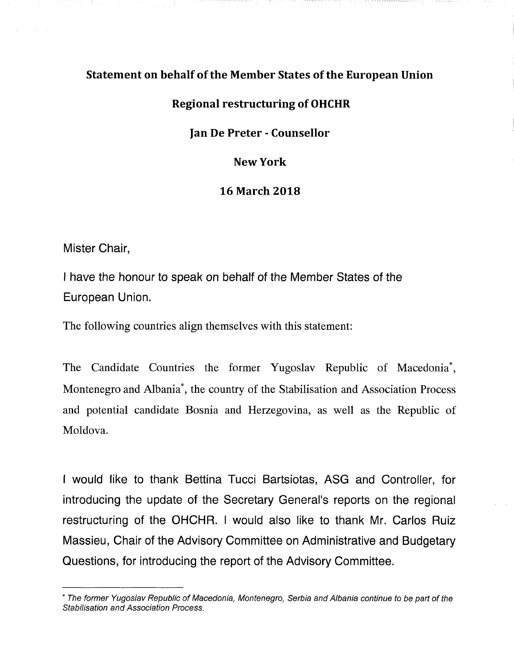# Statement on behalf of the Member States of the European Union

# Regional restructuring of OHCHR

### ]an De Preter - Counsellor

### New York

### 16 March 2018

Mister Chair,

I have the honour to speak on behalf of the Member States of the European Union.

The following countries align themselves with this statement:

The Candidate Countries the former Yugoslav Republic of Macedonia\*, Montenegro and Albania\* , the country of the Stabilisation and Association Process and potential candidate Bosnia and Herzegovina, as well as the Republic of Moldova.

I would like to thank Bettina Tucci Bartsiotas, ASG and Controller, for introducing the update of the Secretary General's reports on the regional restructuring of the OHCHR. I would also like to thank Mr. Carlos Ruiz Massieu, Chair of the Advisory Committee on Administrative and Budgetary Questions, for introducing the report of the Advisory Committee.

<sup>\*</sup> The former Yugoslav Republic of Macedonia, Montenegro, Serbia and Albania continue to be part of the Stabilisation and Association Process.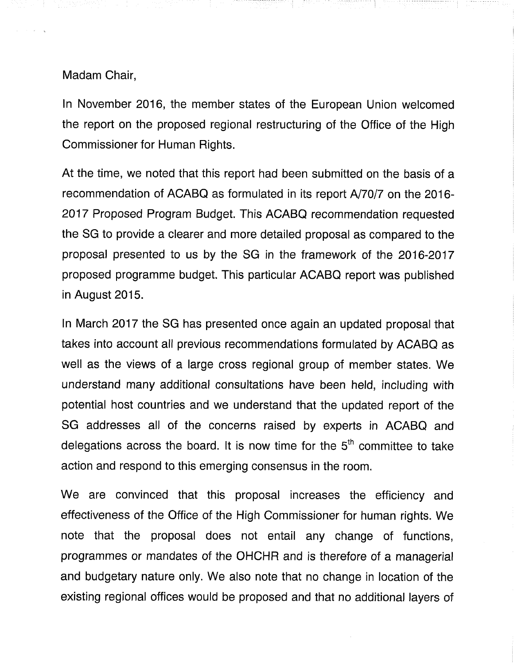### Madam Chair,

In November 2016, the member states of the European Union welcomed the report on the proposed regional restructuring of the Office of the High Commissioner for Human Rights.

At the time, we noted that this report had been submitted on the basis of a recommendation of ACABQ as formulated in its report A/70/7 on the 2016- 2017 Proposed Program Budget. This ACABQ recommendation requested the SG to provide a clearer and more detailed proposal as compared to the proposal presented to us by the SG in the framework of the 2016-2017 proposed programme budget. This particular ACABQ report was published in August 2015.

In March 2017 the SG has presented once again an updated proposal that takes into account all previous recommendations formulated by ACABQ as well as the views of a large cross regional group of member states. We understand many additional consultations have been held, including with potential host countries and we understand that the updated report of the SG addresses all of the concerns raised by experts in ACABQ and delegations across the board. It is now time for the  $5<sup>th</sup>$  committee to take action and respond to this emerging consensus in the room.

We are convinced that this proposal increases the efficiency and effectiveness of the Office of the High Commissioner for human rights. We note that the proposal does not entail any change of functions, programmes or mandates of the OHCHR and is therefore of a managerial and budgetary nature only. We also note that no change in location of the existing regional offices would be proposed and that no additional layers of